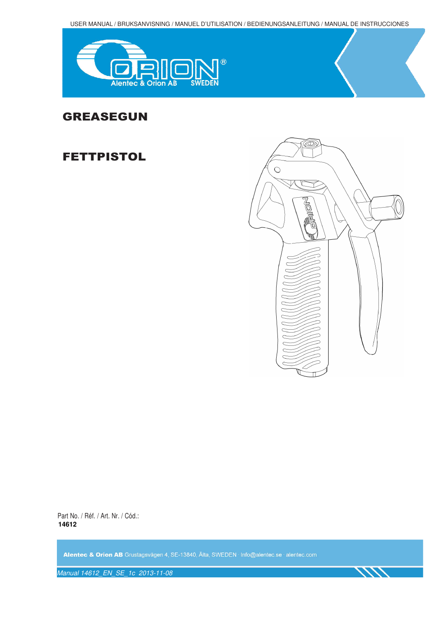USER MANUAL / BRUKSANVISNING / MANUEL D'UTILISATION / BEDIENUNGSANLEITUNG / MANUAL DE INSTRUCCIONES



# GREASEGUN

# FETTPISTOL



111

Part No. / Réf. / Art. Nr. / Cód.: **14612** 

Alentec & Orion AB Grustagsvägen 4, SE-13840, Älta, SWEDEN · Info@alentec.se · alentec.com

Manual 14612\_EN\_SE\_1c 2013-11-08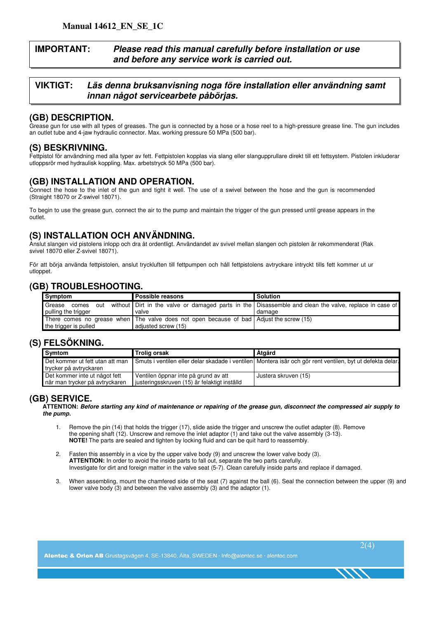## **IMPORTANT: Please read this manual carefully before installation or use and before any service work is carried out.**

### **VIKTIGT: Läs denna bruksanvisning noga före installation eller användning samt innan något servicearbete påbörjas.**

## **(GB) DESCRIPTION.**

Grease gun for use with all types of greases. The gun is connected by a hose or a hose reel to a high-pressure grease line. The gun includes an outlet tube and 4-jaw hydraulic connector. Max. working pressure 50 MPa (500 bar).

### **(S) BESKRIVNING.**

Fettpistol för användning med alla typer av fett. Fettpistolen kopplas via slang eller slangupprullare direkt till ett fettsystem. Pistolen inkluderar utloppsrör med hydraulisk koppling. Max. arbetstryck 50 MPa (500 bar).

## **(GB) INSTALLATION AND OPERATION.**

Connect the hose to the inlet of the gun and tight it well. The use of a swivel between the hose and the gun is recommended (Straight 18070 or Z-swivel 18071).

To begin to use the grease gun, connect the air to the pump and maintain the trigger of the gun pressed until grease appears in the outlet.

# **(S) INSTALLATION OCH ANVÄNDNING.**

Anslut slangen vid pistolens inlopp och dra åt ordentligt. Användandet av svivel mellan slangen och pistolen är rekommenderat (Rak svivel 18070 eller Z-svivel 18071).

För att börja använda fettpistolen, anslut tryckluften till fettpumpen och håll fettpistolens avtryckare intryckt tills fett kommer ut ur utloppet.

# **(GB) TROUBLESHOOTING.**

| Symptom                                       | <b>Possible reasons</b>                                                                 | <b>Solution</b>                                                                                                   |
|-----------------------------------------------|-----------------------------------------------------------------------------------------|-------------------------------------------------------------------------------------------------------------------|
| Grease<br>comes<br>out<br>pulling the trigger | valve                                                                                   | without Dirt in the valve or damaged parts in the Disassemble and clean the valve, replace in case of<br>I damage |
|                                               | There comes no grease when The valve does not open because of bad Adjust the screw (15) |                                                                                                                   |
| the trigger is pulled                         | adiusted screw (15)                                                                     |                                                                                                                   |

#### **(S) FELSÖKNING.**

| Symtom                                                          | Trolig orsak                                                                         | <b>Atgärd</b>                                                                                             |
|-----------------------------------------------------------------|--------------------------------------------------------------------------------------|-----------------------------------------------------------------------------------------------------------|
| Det kommer ut fett utan att man<br>trycker på avtryckaren       |                                                                                      | Smuts i ventilen eller delar skadade i ventilen Montera isär och gör rent ventilen, byt ut defekta delar. |
| Det kommer inte ut något fett<br>när man trycker på avtryckaren | Ventilen öppnar inte på grund av att<br>justeringsskruven (15) är felaktigt inställd | Justera skruven (15)                                                                                      |

#### **(GB) SERVICE.**

**ATTENTION: Before starting any kind of maintenance or repairing of the grease gun, disconnect the compressed air supply to the pump.** 

- 1. Remove the pin (14) that holds the trigger (17), slide aside the trigger and unscrew the outlet adapter (8). Remove the opening shaft (12). Unscrew and remove the inlet adaptor (1) and take out the valve assembly (3-13). **NOTE!** The parts are sealed and tighten by locking fluid and can be quit hard to reassembly.
- 2. Fasten this assembly in a vice by the upper valve body (9) and unscrew the lower valve body (3). **ATTENTION:** In order to avoid the inside parts to fall out, separate the two parts carefully. Investigate for dirt and foreign matter in the valve seat (5-7). Clean carefully inside parts and replace if damaged.
- 3. When assembling, mount the chamfered side of the seat (7) against the ball (6). Seal the connection between the upper (9) and lower valve body (3) and between the valve assembly (3) and the adaptor (1).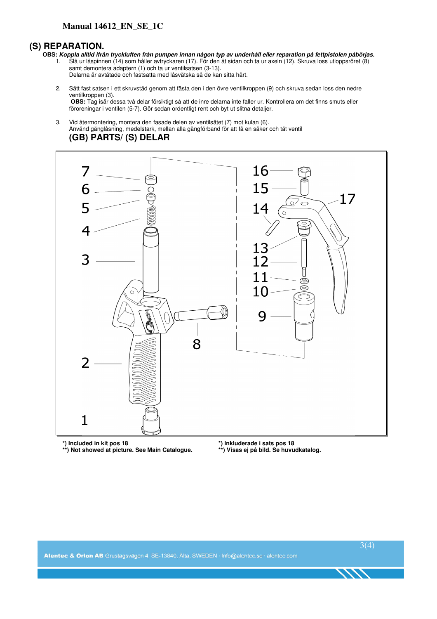#### **Manual 14612\_EN\_SE\_1C**

#### **(S) REPARATION.**

- **OBS: Koppla alltid ifrån tryckluften från pumpen innan någon typ av underhåll eller reparation på fettpistolen påbörjas.**
	- 1. Slå ur låspinnen (14) som håller avtryckaren (17). För den åt sidan och ta ur axeln (12). Skruva loss utloppsröret (8) samt demontera adaptern (1) och ta ur ventilsatsen (3-13).
		- Delarna är avtätade och fastsatta med låsvätska så de kan sitta hårt.
	- 2. Sätt fast satsen i ett skruvstäd genom att fästa den i den övre ventilkroppen (9) och skruva sedan loss den nedre ventilkroppen (3).

**OBS:** Tag isär dessa två delar försiktigt så att de inre delarna inte faller ur. Kontrollera om det finns smuts eller föroreningar i ventilen (5-7). Gör sedan ordentligt rent och byt ut slitna detaljer.

3. Vid återmontering, montera den fasade delen av ventilsätet (7) mot kulan (6). Använd gänglåsning, medelstark, mellan alla gängförband för att få en säker och tät ventil **(GB) PARTS/ (S) DELAR**



 **\*\*) Not showed at picture. See Main Catalogue. \*\*) Visas ej på bild. Se huvudkatalog.** 

**\*) Included in kit pos 18 \*) Inkluderade i sats pos 18**